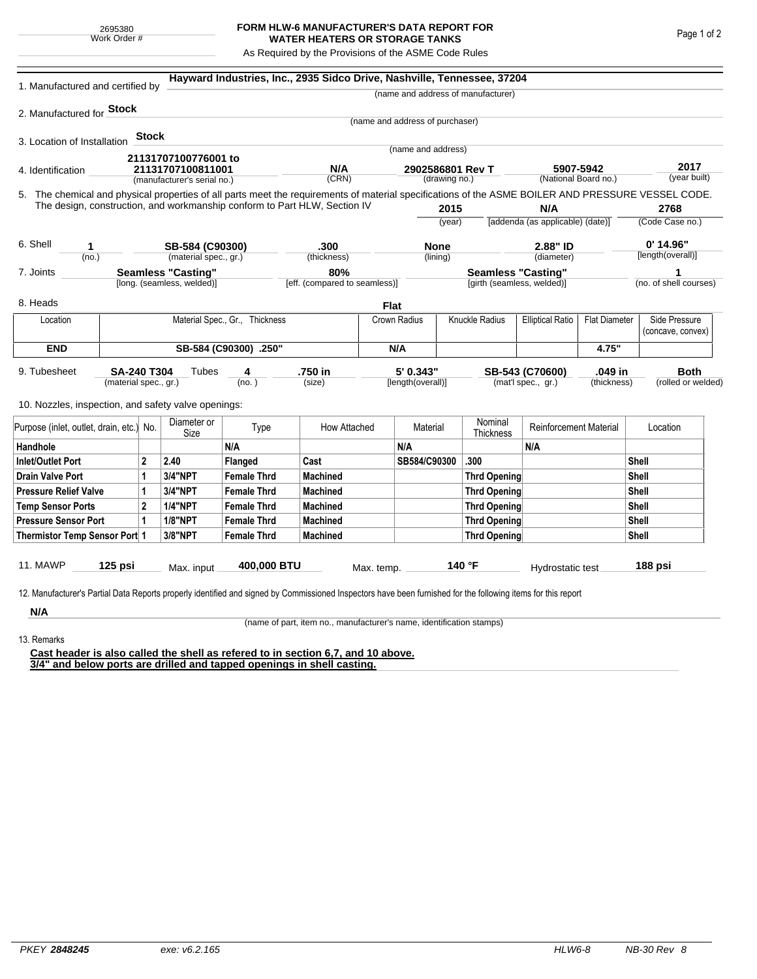## **FORM HLW-6 MANUFACTURER'S DATA REPORT FOR WATER HEATERS OR STORAGE TANKS**

As Required by the Provisions of the ASME Code Rules

| 1. Manufactured and certified by                                                                                                                              |                                      |                |                       |                                | Hayward Industries, Inc., 2935 Sidco Drive, Nashville, Tennessee, 37204   |              |                                 |                      |                                           |                                         |                      |                         |                      |
|---------------------------------------------------------------------------------------------------------------------------------------------------------------|--------------------------------------|----------------|-----------------------|--------------------------------|---------------------------------------------------------------------------|--------------|---------------------------------|----------------------|-------------------------------------------|-----------------------------------------|----------------------|-------------------------|----------------------|
|                                                                                                                                                               |                                      |                |                       |                                |                                                                           |              |                                 |                      | (name and address of manufacturer)        |                                         |                      |                         |                      |
| 2. Manufactured for <b>Stock</b>                                                                                                                              |                                      |                |                       |                                |                                                                           |              |                                 |                      |                                           |                                         |                      |                         |                      |
|                                                                                                                                                               |                                      |                |                       |                                |                                                                           |              | (name and address of purchaser) |                      |                                           |                                         |                      |                         |                      |
| 3. Location of Installation                                                                                                                                   |                                      | <b>Stock</b>   |                       |                                |                                                                           |              |                                 |                      |                                           |                                         |                      |                         |                      |
|                                                                                                                                                               |                                      |                | 21131707100776001 to  |                                |                                                                           |              | (name and address)              |                      |                                           |                                         |                      |                         |                      |
| 4. Identification                                                                                                                                             |                                      |                | 21131707100811001     |                                | N/A                                                                       |              | 2902586801 Rev T                |                      | 5907-5942                                 |                                         |                      |                         | 2017<br>(year built) |
| (manufacturer's serial no.)                                                                                                                                   |                                      |                |                       |                                | (CRN)<br>(drawing no.)                                                    |              |                                 | (National Board no.) |                                           |                                         |                      |                         |                      |
| 5. The chemical and physical properties of all parts meet the requirements of material specifications of the ASME BOILER AND PRESSURE VESSEL CODE.            |                                      |                |                       |                                | The design, construction, and workmanship conform to Part HLW, Section IV |              |                                 |                      |                                           |                                         |                      |                         |                      |
|                                                                                                                                                               |                                      |                |                       |                                |                                                                           |              | 2015                            |                      |                                           | N/A<br>[addenda (as applicable) (date)] |                      | 2768<br>(Code Case no.) |                      |
|                                                                                                                                                               |                                      |                |                       |                                |                                                                           |              |                                 | (year)               |                                           |                                         |                      |                         |                      |
| 6. Shell<br>1                                                                                                                                                 |                                      |                | SB-584 (C90300)       |                                | .300                                                                      |              | <b>None</b>                     |                      | 2.88" ID                                  |                                         |                      |                         | $0'$ 14.96"          |
| (no.)                                                                                                                                                         |                                      |                | (material spec., gr.) |                                | (thickness)                                                               |              | (lining)                        |                      | (diameter)                                |                                         | [length(overall)]    |                         |                      |
| <b>Seamless "Casting"</b><br>7. Joints                                                                                                                        |                                      |                |                       | 80%                            |                                                                           |              | <b>Seamless "Casting"</b>       |                      |                                           |                                         |                      | 1                       |                      |
| [long. (seamless, welded)]                                                                                                                                    |                                      |                |                       |                                | [eff. (compared to seamless)]                                             |              |                                 |                      | [girth (seamless, welded)]                |                                         |                      | (no. of shell courses)  |                      |
| 8. Heads                                                                                                                                                      |                                      |                |                       |                                |                                                                           | Flat         |                                 |                      |                                           |                                         |                      |                         |                      |
| Location                                                                                                                                                      |                                      |                |                       | Material Spec., Gr., Thickness |                                                                           |              | Crown Radius                    |                      | Knuckle Radius<br><b>Elliptical Ratio</b> |                                         | <b>Flat Diameter</b> | Side Pressure           |                      |
|                                                                                                                                                               |                                      |                |                       |                                |                                                                           |              |                                 |                      |                                           |                                         |                      |                         | (concave, convex)    |
| <b>END</b>                                                                                                                                                    | SB-584 (C90300) .250"                |                |                       |                                |                                                                           |              | N/A                             |                      |                                           | 4.75"                                   |                      |                         |                      |
| 9. Tubesheet<br>SA-240 T304                                                                                                                                   |                                      |                | Tubes                 | 4                              | .750 in                                                                   |              | 5' 0.343"                       |                      | .049 in<br>SB-543 (C70600)                |                                         |                      | <b>Both</b>             |                      |
| (material spec., gr.)                                                                                                                                         |                                      |                |                       | (no.)                          | (size)                                                                    |              | [length(overall)]               |                      | (mat'l spec., gr.)<br>(thickness)         |                                         |                      | (rolled or welded)      |                      |
| 10. Nozzles, inspection, and safety valve openings:                                                                                                           |                                      |                |                       |                                |                                                                           |              |                                 |                      |                                           |                                         |                      |                         |                      |
|                                                                                                                                                               |                                      |                | Diameter or           |                                |                                                                           |              |                                 |                      | Nominal                                   |                                         |                      |                         |                      |
| Purpose (inlet, outlet, drain, etc.) No.                                                                                                                      |                                      | Size           | Type                  | How Attached                   |                                                                           | Material     |                                 | Thickness            | <b>Reinforcement Material</b>             |                                         | Location             |                         |                      |
| Handhole                                                                                                                                                      |                                      |                |                       | N/A                            |                                                                           |              | N/A                             |                      |                                           | N/A                                     |                      |                         |                      |
| $\overline{2}$<br><b>Inlet/Outlet Port</b>                                                                                                                    |                                      | 2.40           | Flanged               | Cast                           |                                                                           | SB584/C90300 |                                 | .300                 |                                           |                                         | Shell                |                         |                      |
| <b>Drain Valve Port</b><br>1                                                                                                                                  |                                      | 3/4"NPT        | <b>Female Thrd</b>    | <b>Machined</b>                |                                                                           |              |                                 | <b>Thrd Opening</b>  |                                           |                                         |                      | Shell                   |                      |
| <b>Pressure Relief Valve</b><br>1                                                                                                                             |                                      | 3/4"NPT        | <b>Female Thrd</b>    | <b>Machined</b>                |                                                                           |              |                                 | <b>Thrd Opening</b>  |                                           |                                         | Shell                |                         |                      |
| $\overline{2}$<br><b>Temp Sensor Ports</b>                                                                                                                    |                                      |                | <b>1/4"NPT</b>        | <b>Female Thrd</b>             | <b>Machined</b>                                                           |              |                                 |                      | <b>Thrd Opening</b>                       |                                         |                      | Shell                   |                      |
| <b>Pressure Sensor Port</b><br>1                                                                                                                              |                                      | <b>1/8"NPT</b> | <b>Female Thrd</b>    | <b>Machined</b>                |                                                                           |              |                                 | <b>Thrd Opening</b>  |                                           |                                         |                      | Shell                   |                      |
| Thermistor Temp Sensor Port 1                                                                                                                                 |                                      |                | 3/8"NPT               | <b>Female Thrd</b>             | <b>Machined</b>                                                           |              |                                 |                      | Thrd Opening                              |                                         | Shell                |                         |                      |
|                                                                                                                                                               |                                      |                |                       |                                |                                                                           |              |                                 |                      |                                           |                                         |                      |                         |                      |
| 11. MAWP                                                                                                                                                      | 125 psi<br>400,000 BTU<br>Max. input |                | Max. temp.            | 140 °F                         |                                                                           |              | Hydrostatic test                |                      |                                           | 188 psi                                 |                      |                         |                      |
| 12. Manufacturer's Partial Data Reports properly identified and signed by Commissioned Inspectors have been furnished for the following items for this report |                                      |                |                       |                                |                                                                           |              |                                 |                      |                                           |                                         |                      |                         |                      |
|                                                                                                                                                               |                                      |                |                       |                                |                                                                           |              |                                 |                      |                                           |                                         |                      |                         |                      |
| N/A                                                                                                                                                           |                                      |                |                       |                                |                                                                           |              |                                 |                      |                                           |                                         |                      |                         |                      |

(name of part, item no., manufacturer's name, identification stamps)

13. Remarks

**Cast header is also called the shell as refered to in section 6,7, and 10 above. 3/4" and below ports are drilled and tapped openings in shell casting.**